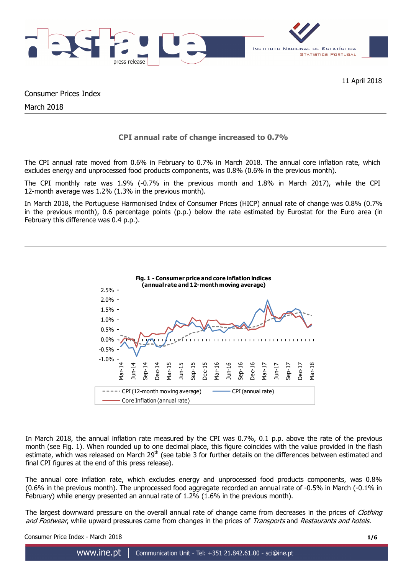

11 April 2018

Consumer Prices Index

March 2018

# **CPI annual rate of change increased to 0.7%**

The CPI annual rate moved from 0.6% in February to 0.7% in March 2018. The annual core inflation rate, which excludes energy and unprocessed food products components, was 0.8% (0.6% in the previous month).

The CPI monthly rate was 1.9% (-0.7% in the previous month and 1.8% in March 2017), while the CPI 12-month average was 1.2% (1.3% in the previous month).

In March 2018, the Portuguese Harmonised Index of Consumer Prices (HICP) annual rate of change was 0.8% (0.7% in the previous month), 0.6 percentage points (p.p.) below the rate estimated by Eurostat for the Euro area (in February this difference was 0.4 p.p.).



In March 2018, the annual inflation rate measured by the CPI was 0.7%, 0.1 p.p. above the rate of the previous month (see Fig. 1). When rounded up to one decimal place, this figure coincides with the value provided in the flash estimate, which was released on March  $29^{th}$  (see table 3 for further details on the differences between estimated and final CPI figures at the end of this press release).

The annual core inflation rate, which excludes energy and unprocessed food products components, was 0.8% (0.6% in the previous month). The unprocessed food aggregate recorded an annual rate of -0.5% in March (-0.1% in February) while energy presented an annual rate of 1.2% (1.6% in the previous month).

The largest downward pressure on the overall annual rate of change came from decreases in the prices of *Clothing* and Footwear, while upward pressures came from changes in the prices of Transports and Restaurants and hotels.

Consumer Price Index - March 2018 **1/6**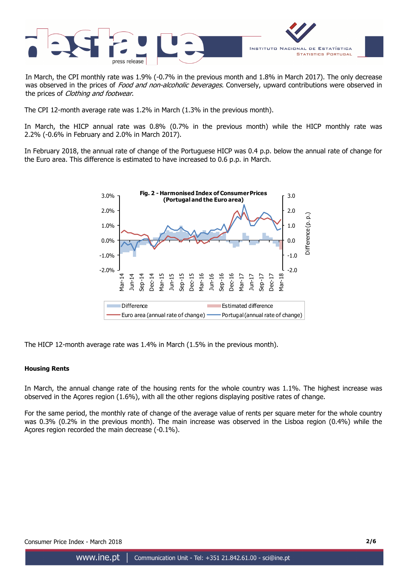

In March, the CPI monthly rate was 1.9% (-0.7% in the previous month and 1.8% in March 2017). The only decrease was observed in the prices of Food and non-alcoholic beverages. Conversely, upward contributions were observed in the prices of Clothing and footwear.

The CPI 12-month average rate was 1.2% in March (1.3% in the previous month).

In March, the HICP annual rate was 0.8% (0.7% in the previous month) while the HICP monthly rate was 2.2% (-0.6% in February and 2.0% in March 2017).

In February 2018, the annual rate of change of the Portuguese HICP was 0.4 p.p. below the annual rate of change for the Euro area. This difference is estimated to have increased to 0.6 p.p. in March.



The HICP 12-month average rate was 1.4% in March (1.5% in the previous month).

#### **Housing Rents**

In March, the annual change rate of the housing rents for the whole country was 1.1%. The highest increase was observed in the Açores region (1.6%), with all the other regions displaying positive rates of change.

For the same period, the monthly rate of change of the average value of rents per square meter for the whole country was 0.3% (0.2% in the previous month). The main increase was observed in the Lisboa region (0.4%) while the Açores region recorded the main decrease (-0.1%).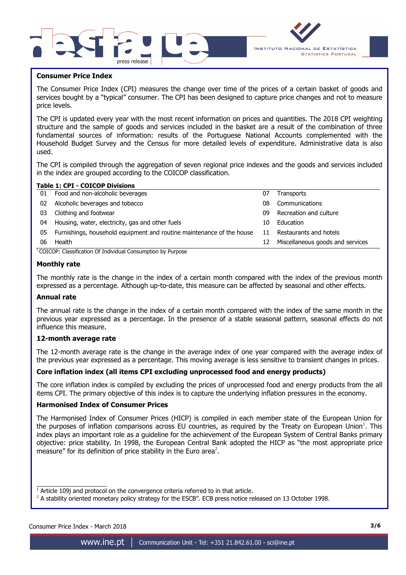



### **Consumer Price Index**

I

The Consumer Price Index (CPI) measures the change over time of the prices of a certain basket of goods and services bought by a "typical" consumer. The CPI has been designed to capture price changes and not to measure price levels.

The CPI is updated every year with the most recent information on prices and quantities. The 2018 CPI weighting structure and the sample of goods and services included in the basket are a result of the combination of three fundamental sources of information: results of the Portuguese National Accounts complemented with the Household Budget Survey and the Census for more detailed levels of expenditure. Administrative data is also used.

The CPI is compiled through the aggregation of seven regional price indexes and the goods and services included in the index are grouped according to the COICOP classification.

## **Table 1: CPI - COICOP Divisions**

| 01 | Food and non-alcoholic beverages                                      | 07 | <b>Transports</b>                |
|----|-----------------------------------------------------------------------|----|----------------------------------|
| 02 | Alcoholic beverages and tobacco                                       | 08 | Communications                   |
| 03 | Clothing and footwear                                                 | 09 | Recreation and culture           |
| 04 | Housing, water, electricity, gas and other fuels                      | 10 | Education                        |
| 05 | Furnishings, household equipment and routine maintenance of the house | 11 | Restaurants and hotels           |
| 06 | Health                                                                | 12 | Miscellaneous goods and services |
|    | $^{1}$ COICOP: Classification Of Individual Consumption by Purpose    |    |                                  |

<sup>1</sup> COICOP: Classification Of Individual Consumption by Purpose

### **Monthly rate**

The monthly rate is the change in the index of a certain month compared with the index of the previous month expressed as a percentage. Although up-to-date, this measure can be affected by seasonal and other effects.

#### **Annual rate**

The annual rate is the change in the index of a certain month compared with the index of the same month in the previous year expressed as a percentage. In the presence of a stable seasonal pattern, seasonal effects do not influence this measure.

#### **12-month average rate**

The 12-month average rate is the change in the average index of one year compared with the average index of the previous year expressed as a percentage. This moving average is less sensitive to transient changes in prices.

### **Core inflation index (all items CPI excluding unprocessed food and energy products)**

The core inflation index is compiled by excluding the prices of unprocessed food and energy products from the all items CPI. The primary objective of this index is to capture the underlying inflation pressures in the economy.

#### **Harmonised Index of Consumer Prices**

The Harmonised Index of Consumer Prices (HICP) is compiled in each member state of the European Union for the purposes of inflation comparisons across EU countries, as required by the Treaty on European Union<sup>1</sup>. This index plays an important role as a guideline for the achievement of the European System of Central Banks primary objective: price stability. In 1998, the European Central Bank adopted the HICP as "the most appropriate price measure" for its definition of price stability in the Euro area<sup>2</sup>.

 $\overline{\phantom{a}}$  , and the set of the set of the set of the set of the set of the set of the set of the set of the set of the set of the set of the set of the set of the set of the set of the set of the set of the set of the s  $1$  Article 109j and protocol on the convergence criteria referred to in that article.

 $^2$  A stability oriented monetary policy strategy for the ESCB". ECB press notice released on 13 October 1998.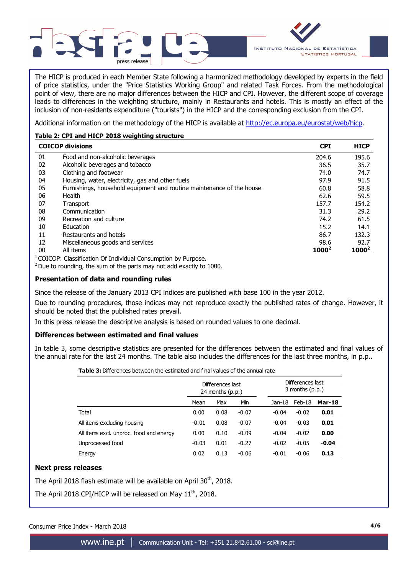



The HICP is produced in each Member State following a harmonized methodology developed by experts in the field of price statistics, under the "Price Statistics Working Group" and related Task Forces. From the methodological point of view, there are no major differences between the HICP and CPI. However, the different scope of coverage leads to differences in the weighting structure, mainly in Restaurants and hotels. This is mostly an effect of the inclusion of non-residents expenditure ("tourists") in the HICP and the corresponding exclusion from the CPI.

Additional information on the methodology of the HICP is available at http://ec.europa.eu/eurostat/web/hicp.

## **Table 2: CPI and HICP 2018 weighting structure**

|    | <b>COICOP divisions</b>                                               | <b>CPI</b> | <b>HICP</b> |
|----|-----------------------------------------------------------------------|------------|-------------|
| 01 | Food and non-alcoholic beverages                                      | 204.6      | 195.6       |
| 02 | Alcoholic beverages and tobacco                                       | 36.5       | 35.7        |
| 03 | Clothing and footwear                                                 | 74.0       | 74.7        |
| 04 | Housing, water, electricity, gas and other fuels                      | 97.9       | 91.5        |
| 05 | Furnishings, household equipment and routine maintenance of the house | 60.8       | 58.8        |
| 06 | Health                                                                | 62.6       | 59.5        |
| 07 | Transport                                                             | 157.7      | 154.2       |
| 08 | Communication                                                         | 31.3       | 29.2        |
| 09 | Recreation and culture                                                | 74.2       | 61.5        |
| 10 | Education                                                             | 15.2       | 14.1        |
| 11 | Restaurants and hotels                                                | 86.7       | 132.3       |
| 12 | Miscellaneous goods and services                                      | 98.6       | 92.7        |
| 00 | All items                                                             | $1000^2$   | $1000^2$    |

 $1$ COICOP: Classification Of Individual Consumption by Purpose.

 $2$  Due to rounding, the sum of the parts may not add exactly to 1000.

### **Presentation of data and rounding rules**

Since the release of the January 2013 CPI indices are published with base 100 in the year 2012.

Due to rounding procedures, those indices may not reproduce exactly the published rates of change. However, it should be noted that the published rates prevail.

In this press release the descriptive analysis is based on rounded values to one decimal.

### **Differences between estimated and final values**

In table 3, some descriptive statistics are presented for the differences between the estimated and final values of the annual rate for the last 24 months. The table also includes the differences for the last three months, in p.p..

**Table 3:** Differences between the estimated and final values of the annual rate

|                                         |         | Differences last<br>24 months $(p.p.)$ |         |         | Differences last<br>$3$ months $(p.p.)$ |               |
|-----------------------------------------|---------|----------------------------------------|---------|---------|-----------------------------------------|---------------|
|                                         | Mean    | Max                                    | Min     | Jan-18  | Feb-18                                  | <b>Mar-18</b> |
| Total                                   | 0.00    | 0.08                                   | $-0.07$ | $-0.04$ | $-0.02$                                 | 0.01          |
| All items excluding housing             | $-0.01$ | 0.08                                   | $-0.07$ | $-0.04$ | $-0.03$                                 | 0.01          |
| All items excl. unproc. food and energy | 0.00    | 0.10                                   | $-0.09$ | $-0.04$ | $-0.02$                                 | 0.00          |
| Unprocessed food                        | $-0.03$ | 0.01                                   | $-0.27$ | $-0.02$ | $-0.05$                                 | $-0.04$       |
| Energy                                  | 0.02    | 0.13                                   | $-0.06$ | $-0.01$ | $-0.06$                                 | 0.13          |

#### **Next press releases**

The April 2018 flash estimate will be available on April 30<sup>th</sup>, 2018.

The April 2018 CPI/HICP will be released on May 11<sup>th</sup>, 2018.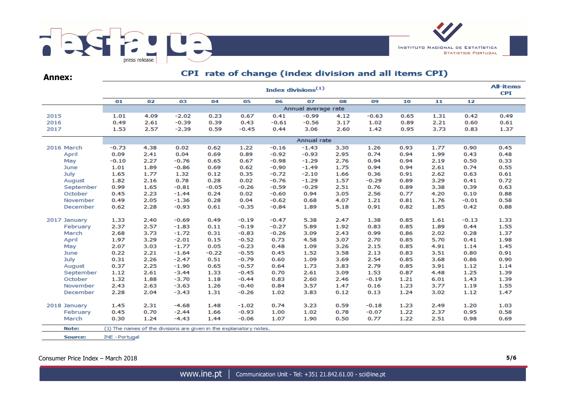

**Annex:**

# CPI rate of change (index division and all items CPI)

|              | <b>All-items</b><br>Index divisions <sup>(1)</sup><br><b>CPI</b> |      |                                                                    |         |         |         |         |      |         |      |      |         |      |  |
|--------------|------------------------------------------------------------------|------|--------------------------------------------------------------------|---------|---------|---------|---------|------|---------|------|------|---------|------|--|
|              | 01                                                               | 02   | 03                                                                 | 04      | 05      | 06      | 07      | 08   | 09      | 10   | 11   | 12      |      |  |
|              | Annual average rate                                              |      |                                                                    |         |         |         |         |      |         |      |      |         |      |  |
| 2015         | 1.01                                                             | 4.09 | $-2.02$                                                            | 0.23    | 0.67    | 0.41    | $-0.99$ | 4.12 | $-0.63$ | 0.65 | 1.31 | 0.42    | 0.49 |  |
| 2016         | 0.49                                                             | 2.61 | $-0.39$                                                            | 0.39    | 0.43    | $-0.61$ | $-0.56$ | 3.17 | 1.02    | 0.89 | 2.21 | 0.60    | 0.61 |  |
| 2017         | 1.53                                                             | 2.57 | $-2.39$                                                            | 0.59    | $-0.45$ | 0.44    | 3.06    | 2.60 | 1.42    | 0.95 | 3.73 | 0.83    | 1.37 |  |
|              | Annual rate                                                      |      |                                                                    |         |         |         |         |      |         |      |      |         |      |  |
| 2016 March   | $-0.73$                                                          | 4.38 | 0.02                                                               | 0.62    | 1.22    | $-0.16$ | $-1.43$ | 3.30 | 1.26    | 0.93 | 1.77 | 0.90    | 0.45 |  |
| April        | 0.09                                                             | 2.41 | 0.04                                                               | 0.69    | 0.89    | $-0.92$ | $-0.93$ | 2.95 | 0.74    | 0.94 | 1.99 | 0.43    | 0.48 |  |
| May          | $-0.10$                                                          | 2.27 | $-0.76$                                                            | 0.65    | 0.67    | $-0.98$ | $-1.29$ | 2.76 | 0.94    | 0.94 | 2.19 | 0.50    | 0.33 |  |
| June         | 1.01                                                             | 1.89 | $-0.86$                                                            | 0.69    | 0.62    | $-0.90$ | $-1.49$ | 1.75 | 0.94    | 0.94 | 2.61 | 0.74    | 0.55 |  |
| July         | 1.65                                                             | 1.77 | 1.32                                                               | 0.12    | 0.35    | $-0.72$ | $-2.10$ | 1.66 | 0.36    | 0.91 | 2.62 | 0.63    | 0.61 |  |
| August       | 1.82                                                             | 2.16 | 0.78                                                               | 0.28    | 0.02    | $-0.76$ | $-1.29$ | 1.57 | $-0.29$ | 0.89 | 3.29 | 0.41    | 0.72 |  |
| September    | 0.99                                                             | 1.65 | $-0.81$                                                            | $-0.05$ | $-0.26$ | $-0.59$ | $-0.29$ | 2.51 | 0.76    | 0.89 | 3.38 | 0.39    | 0.63 |  |
| October      | 0.45                                                             | 2.23 | $-1.44$                                                            | 0.24    | 0.02    | $-0.60$ | 0.94    | 3.05 | 2.56    | 0.77 | 4.20 | 0.10    | 0.88 |  |
| November     | 0.49                                                             | 2.05 | $-1.36$                                                            | 0.28    | 0.04    | $-0.62$ | 0.68    | 4.07 | 1.21    | 0.81 | 1.76 | $-0.01$ | 0.58 |  |
| December     | 0.62                                                             | 2.28 | $-0.93$                                                            | 0.61    | $-0.35$ | $-0.84$ | 1.89    | 5.18 | 0.91    | 0.82 | 1.85 | 0.42    | 0.88 |  |
| 2017 January | 1.33                                                             | 2.40 | $-0.69$                                                            | 0.49    | $-0.19$ | $-0.47$ | 5.38    | 2.47 | 1.38    | 0.85 | 1.61 | $-0.13$ | 1.33 |  |
| February     | 2.37                                                             | 2.57 | $-1.83$                                                            | 0.11    | $-0.19$ | $-0.27$ | 5.89    | 1.92 | 0.83    | 0.85 | 1.89 | 0.44    | 1.55 |  |
| March        | 2.68                                                             | 3.73 | $-1.72$                                                            | 0.31    | $-0.83$ | $-0.26$ | 3.09    | 2.43 | 0.99    | 0.86 | 2.02 | 0.28    | 1.37 |  |
| April        | 1.97                                                             | 3.29 | $-2.01$                                                            | 0.15    | $-0.52$ | 0.73    | 4.58    | 3.07 | 2.70    | 0.85 | 5.70 | 0.41    | 1.98 |  |
| May          | 2.07                                                             | 3.03 | $-1.77$                                                            | 0.05    | $-0.23$ | 0.48    | 1.09    | 3.26 | 2.15    | 0.85 | 4.91 | 1.14    | 1.45 |  |
| June         | 0.22                                                             | 2.21 | $-1.64$                                                            | $-0.22$ | $-0.55$ | 0.45    | 1.52    | 3.58 | 2.13    | 0.83 | 3.51 | 0.80    | 0.91 |  |
| July         | 0.31                                                             | 2.26 | $-2.47$                                                            | 0.51    | $-0.79$ | 0.60    | 1.09    | 3.69 | 2.54    | 0.85 | 3.68 | 0.86    | 0.90 |  |
| August       | 0.37                                                             | 2.25 | $-1.90$                                                            | 0.65    | $-0.57$ | 0.64    | 1.73    | 3.83 | 2.79    | 0.85 | 3.91 | 1.12    | 1.14 |  |
| September    | 1.12                                                             | 2.61 | $-3.44$                                                            | 1.33    | $-0.45$ | 0.70    | 2.61    | 3.09 | 1.53    | 0.87 | 4.48 | 1.25    | 1.39 |  |
| October      | 1.32                                                             | 1.88 | $-3.70$                                                            | 1.18    | $-0.44$ | 0.83    | 2.60    | 2.46 | $-0.19$ | 1.21 | 6.01 | 1.43    | 1.39 |  |
| November     | 2.43                                                             | 2.63 | $-3.63$                                                            | 1.26    | $-0.40$ | 0.84    | 3.57    | 1.47 | 0.16    | 1.23 | 3.77 | 1.19    | 1.55 |  |
| December     | 2.28                                                             | 2.04 | $-3.43$                                                            | 1.31    | $-0.26$ | 1.02    | 3.83    | 0.12 | 0.13    | 1.24 | 3.02 | 1.12    | 1.47 |  |
| 2018 January | 1.45                                                             | 2.31 | $-4.68$                                                            | 1.48    | $-1.02$ | 0.74    | 3.23    | 0.59 | $-0.18$ | 1.23 | 2.49 | 1.20    | 1.03 |  |
| February     | 0.45                                                             | 0.70 | $-2.44$                                                            | 1.66    | $-0.93$ | 1.00    | 1.02    | 0.78 | $-0.07$ | 1.22 | 2.37 | 0.95    | 0.58 |  |
| March        | 0.30                                                             | 1.24 | $-4.43$                                                            | 1.44    | $-0.06$ | 1.07    | 1.90    | 0.50 | 0.77    | 1.22 | 2.51 | 0.98    | 0.69 |  |
| Note:        |                                                                  |      | (1) The names of the divisions are given in the explanatory notes. |         |         |         |         |      |         |      |      |         |      |  |
| Source:      | INE - Portugal                                                   |      |                                                                    |         |         |         |         |      |         |      |      |         |      |  |

Consumer Price Index – March 2018 **5/6**